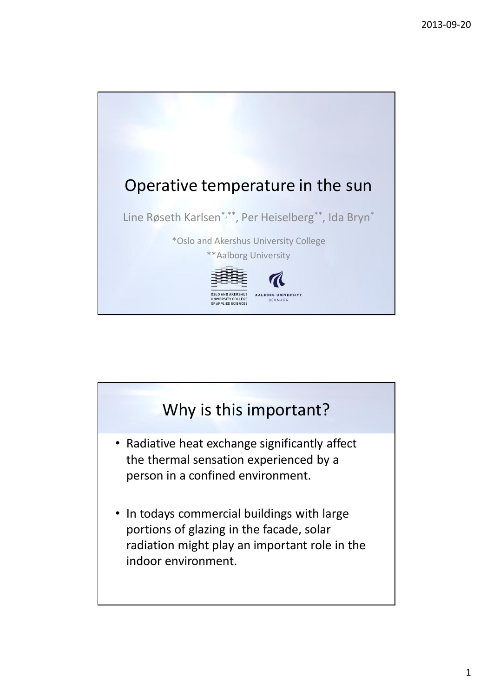

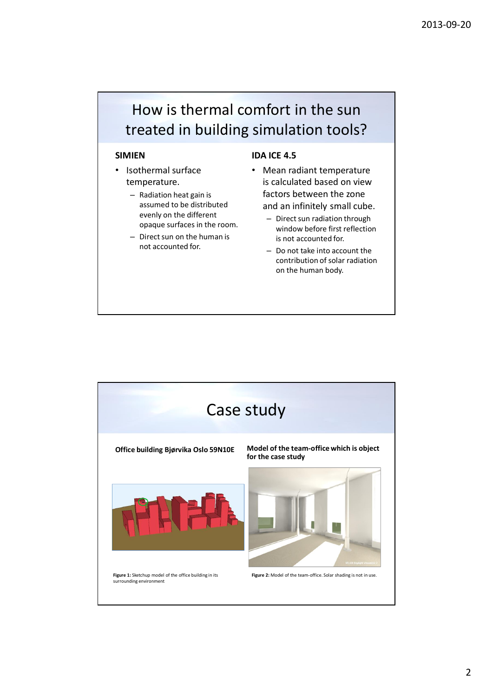## How is thermal comfort in the sun treated in building simulation tools?

## **SIMIEN**

- Isothermal surface temperature.
	- Radiation heat gain is assumed to be distributed evenly on the different opaque surfaces in the room.
	- Direct sun on the human is not accounted for.

## **IDA ICE 4.5**

- Mean radiant temperature is calculated based on view factors between the zone and an infinitely small cube.
	- Direct sun radiation through window before first reflection is not accounted for.
	- $-$  Do not take into account the contribution of solar radiation on the human body.

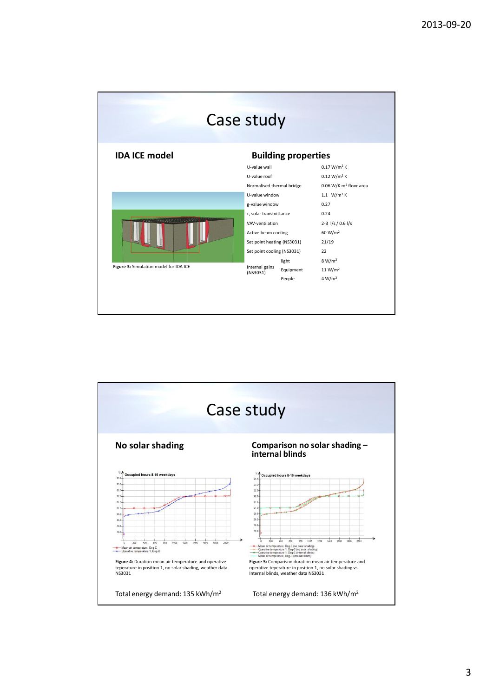|                                        | Case study                 |                         |                                    |  |  |
|----------------------------------------|----------------------------|-------------------------|------------------------------------|--|--|
| <b>IDA ICE model</b>                   | <b>Building properties</b> |                         |                                    |  |  |
|                                        | U-value wall               | 0.17 W/m <sup>2</sup> K |                                    |  |  |
|                                        | U-value roof               |                         | 0.12 W/m <sup>2</sup> K            |  |  |
|                                        | Normalised thermal bridge  |                         | 0.06 W/K m <sup>2</sup> floor area |  |  |
|                                        | U-value window             |                         | 1.1 $W/m^2 K$                      |  |  |
|                                        | g-value window             |                         | 0.27                               |  |  |
|                                        | τ, solar transmittance     |                         | 0.24                               |  |  |
|                                        | VAV-ventilation            |                         | $2-3$ $1/s / 0.6$ $1/s$            |  |  |
|                                        | Active beam cooling        |                         | 60 W/m <sup>2</sup>                |  |  |
|                                        | Set point heating (NS3031) |                         | 21/19                              |  |  |
|                                        | Set point cooling (NS3031) | 22                      |                                    |  |  |
|                                        |                            | light                   | 8 W/m <sup>2</sup>                 |  |  |
| Figure 3: Simulation model for IDA ICE | Internal gains<br>(N53031) | Equipment               | 11 W/m <sup>2</sup>                |  |  |
|                                        |                            | People                  | 4 W/m <sup>2</sup>                 |  |  |

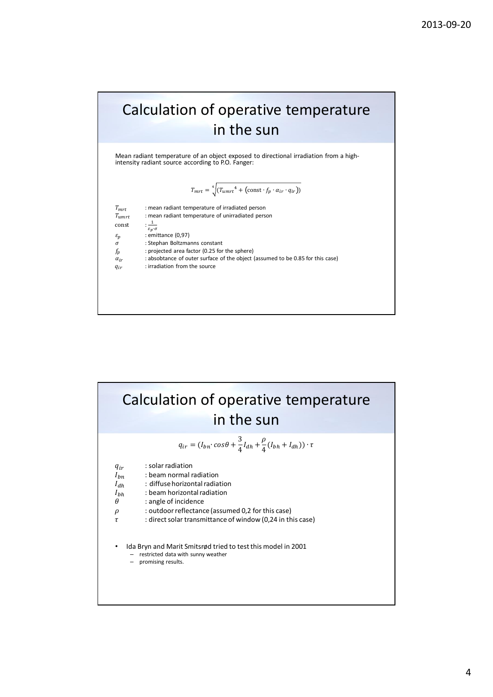## Calculation of operative temperature in the sun

Mean radiant temperature of an object exposed to directional irradiation from a highintensity radiant source according to P.O. Fanger:

$$
T_{mrt} = \sqrt[4]{(T_{umrt}^4 + (\text{const} \cdot f_p \cdot \alpha_{ir} \cdot q_{ir}))}
$$

| : mean radiant temperature of irradiated person<br>: mean radiant temperature of unirradiated person<br>$\frac{1}{\varepsilon_p \cdot \sigma}$ |
|------------------------------------------------------------------------------------------------------------------------------------------------|
| : emittance (0,97)                                                                                                                             |
| : Stephan Boltzmanns constant                                                                                                                  |
| : projected area factor (0.25 for the sphere)                                                                                                  |
| : absobtance of outer surface of the object (assumed to be 0.85 for this case)                                                                 |
| : irradiation from the source                                                                                                                  |
|                                                                                                                                                |
|                                                                                                                                                |
|                                                                                                                                                |

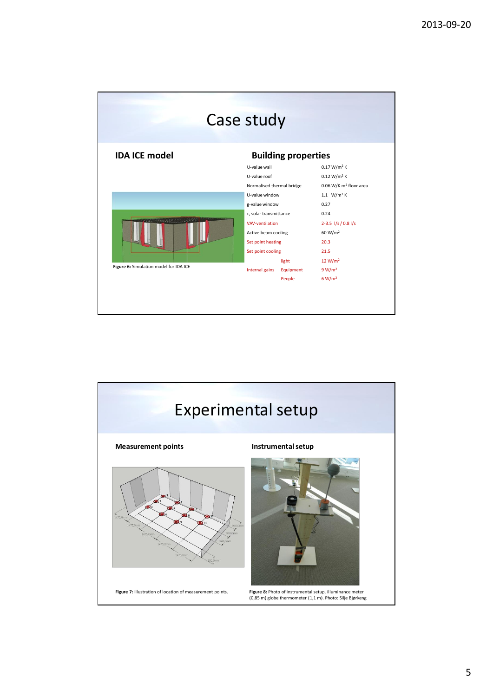|                                        | Case study                |                                                                                          |                             |  |  |
|----------------------------------------|---------------------------|------------------------------------------------------------------------------------------|-----------------------------|--|--|
| <b>IDA ICE model</b>                   |                           | <b>Building properties</b>                                                               |                             |  |  |
|                                        | U-value wall              | 0.17 W/m <sup>2</sup> K<br>0.12 W/m <sup>2</sup> K<br>0.06 W/K m <sup>2</sup> floor area |                             |  |  |
|                                        | U-value roof              |                                                                                          |                             |  |  |
|                                        | Normalised thermal bridge |                                                                                          |                             |  |  |
|                                        | U-value window            |                                                                                          | 1.1 $W/m^2 K$               |  |  |
|                                        | g-value window            |                                                                                          | 0.27                        |  |  |
|                                        | τ, solar transmittance    |                                                                                          | 0.24                        |  |  |
|                                        | VAV-ventilation           |                                                                                          | $2 - 3.5$ $1/s / 0.8$ $1/s$ |  |  |
|                                        | Active beam cooling       |                                                                                          | 60 W/m <sup>2</sup>         |  |  |
|                                        | Set point heating         |                                                                                          | 20.3                        |  |  |
|                                        | Set point cooling         |                                                                                          | 21.5                        |  |  |
|                                        |                           | light                                                                                    | 12 W/m <sup>2</sup>         |  |  |
| Figure 6: Simulation model for IDA ICE | Internal gains            | Equipment                                                                                | 9 W/m <sup>2</sup>          |  |  |
|                                        |                           | People                                                                                   | 6 W/m <sup>2</sup>          |  |  |

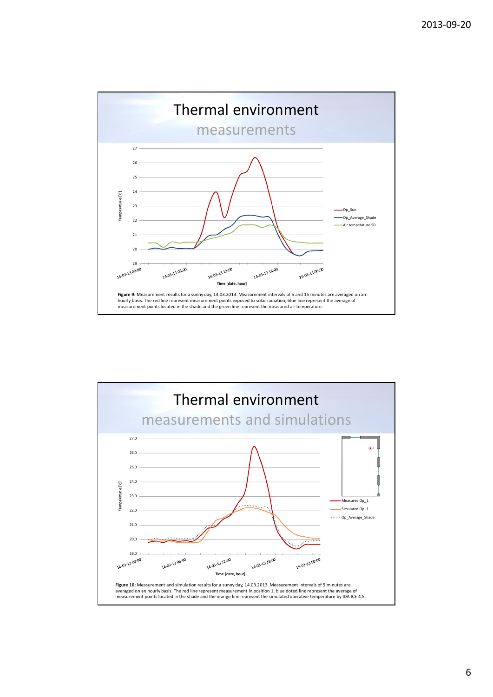

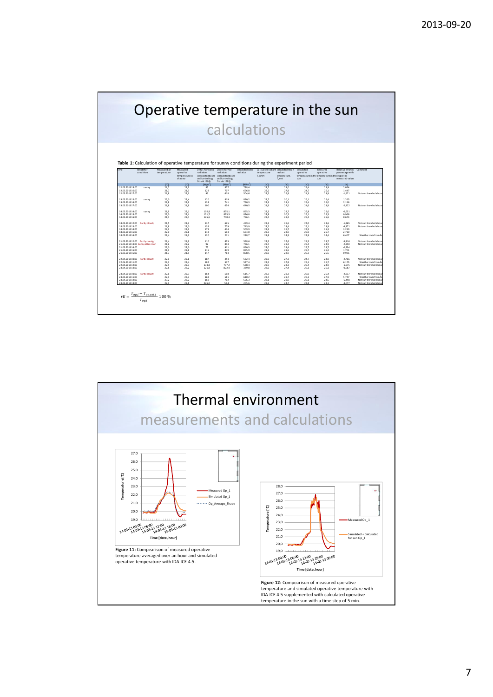|                                                                                                 |                                  |                             |                       |                                     | calculations                     |                               |              |                                               |                                                  |                       |                                      |                                                                                                |
|-------------------------------------------------------------------------------------------------|----------------------------------|-----------------------------|-----------------------|-------------------------------------|----------------------------------|-------------------------------|--------------|-----------------------------------------------|--------------------------------------------------|-----------------------|--------------------------------------|------------------------------------------------------------------------------------------------|
|                                                                                                 |                                  |                             |                       |                                     |                                  |                               |              |                                               |                                                  |                       |                                      |                                                                                                |
|                                                                                                 |                                  |                             |                       |                                     |                                  |                               |              |                                               |                                                  |                       |                                      |                                                                                                |
|                                                                                                 |                                  |                             |                       |                                     |                                  |                               |              |                                               |                                                  |                       |                                      |                                                                                                |
|                                                                                                 |                                  |                             |                       |                                     |                                  |                               |              |                                               |                                                  |                       |                                      |                                                                                                |
|                                                                                                 |                                  |                             |                       |                                     |                                  |                               |              |                                               |                                                  |                       |                                      |                                                                                                |
| Table 1: Calculation of operative temperature for sunny conditions during the experiment period |                                  |                             |                       |                                     |                                  |                               |              |                                               |                                                  |                       |                                      |                                                                                                |
| fime                                                                                            | Weateher<br>conditions           | Measured air<br>temperature | Measured<br>norrative | Diffus horisontal<br>radiation      | Directnormal<br>radiation        | calculated solar<br>radiation | temperature  | Calculated radiant calculated mean<br>radiant | calculated<br>operative                          | measured<br>operative | Relative error in<br>percentage with | Comment                                                                                        |
|                                                                                                 |                                  | temperature in              |                       | (calculated based (calculated based |                                  | T umrt                        | temperature  |                                               | temperature in the temperature in the respect to |                       |                                      |                                                                                                |
|                                                                                                 |                                  |                             | shadow                | on Skartveit og<br>Olseth 1998)     | on Skartveit og<br>Ol seth 1998) |                               |              | T mrt                                         | sun                                              | sun                   | measured values                      |                                                                                                |
|                                                                                                 |                                  | [°c]                        | [°c]                  | [W/m']                              | [W/m]                            | [W/m']                        | [C]          | $\Gamma$ C]                                   | [°c]                                             | [°c]                  | 1951                                 |                                                                                                |
| 12.03.2013.15:00<br>12.03.2013.16:00                                                            | sunny                            | 21,7<br>21.7                | 222<br>21.9           | 85<br>129                           | 827<br>707                       | 738.4<br>656.8                | 22,7<br>22.2 | 29.0<br>27.8                                  | 25,4<br>24,7                                     | 259<br>25.1           | 2,074<br>1,447                       |                                                                                                |
| 12.03.2013.17:00                                                                                |                                  | 21.8                        | 22.1                  | 93                                  | 618                              | 504,6                         | 22.5         | 26.8                                          | 24,3                                             | 23.9                  | $-1,621$                             | Not sun the whole hou                                                                          |
| 13.03.201315:00                                                                                 | sunny                            | 22.0                        | 22.4                  | 120                                 | 819                              | 870.2                         | 22.7         | 30.1                                          | 26.1                                             | 26,4                  | 1,265                                |                                                                                                |
| 13.03.201316:00                                                                                 |                                  | 21.8                        | 22.1                  | 124                                 | 741                              | 790.3                         | 22.3         | 29.1                                          | 25.4                                             | 26.0                  | 2.196                                |                                                                                                |
| 13.03.201317:00                                                                                 |                                  | 21.8                        | 21,8                  | 100                                 | 654                              | 640,5                         | 21.9         | 27,5                                          | 24,6                                             | 23,9                  | $-2.922$                             | Not sun the whole hou                                                                          |
| 14.03.201314:00                                                                                 | sunny                            | 21.9                        | 22.1                  | 102.8                               | 875.1                            | 865.3                         | 22.3         | 29.7                                          | 25.8                                             | 25.6                  | $-0,631$                             |                                                                                                |
| 14.03.201315:00                                                                                 |                                  | 22.0                        | 22.4                  | 121.7                               | 825.5                            | 876.0                         | 22.8         | 30.2                                          | 26.1                                             | 26.3                  | 0.966                                |                                                                                                |
| 14.03.201316:00                                                                                 |                                  | 21.7                        | 22.0                  | 125.6                               | 748.4                            | 796.1                         | 22.4         | 29.2                                          | 25.4                                             | 25.6                  | 0.673                                |                                                                                                |
| 18.03.201312:00                                                                                 | Partly cloudy                    | 21.5                        | 21.9                  | 137                                 | 625                              | 499.4                         | 22.3         | 26.6                                          | 24.0                                             | 23.6                  | $-1.865$                             | Not sun the whole hou                                                                          |
| 18.03.201313:00                                                                                 |                                  | 21.8                        | 22.0                  | 135                                 | 779                              | 715.9                         | 22.2         | 28.4                                          | 25.1                                             | 23.9                  | $-4.871$                             | Not sun the whole hou                                                                          |
| 18.03.201314:00<br>18.03.201315:00                                                              |                                  | 22.2<br>22.0                | 22.2<br>22.1          | 179<br>118                          | 414<br>614                       | 509.9<br>664.8                | 22.3<br>22.3 | 26.7<br>28.0                                  | 24.5<br>25.0                                     | 25.3<br>25.7          | 3.230<br>2.710                       |                                                                                                |
| 18.03.201316:00                                                                                 |                                  | 21.4                        | 21.6                  | 120                                 | 211                              | 288.7                         | 21.8         | 24.3                                          | 22.9                                             | 24.4                  | 6.407                                | Weather data from A                                                                            |
| 21.03.201312:00 Partly cloudy/                                                                  |                                  | 21.4                        | 21.9                  | 110                                 | 825                              | 598.6                         | 22.5         | 27.6                                          | 24.5                                             | 23.7                  | $-3.316$                             | Not sun the whole hou                                                                          |
|                                                                                                 | 21.03.201313:00 Sunny after noon | 21.6                        | 22.2                  | 92                                  | 894                              | 766.1                         | 22.7         | 29.2                                          | 25.4                                             | 24.9                  | $-2.250$                             | Not sun the whole hou                                                                          |
| 21.03.201314:00                                                                                 |                                  | 22.0                        | 22.0                  | 75                                  | 911                              | 860.3                         | 22.0         | 29.4                                          | 25.7                                             | 25.7                  | $-0.234$                             |                                                                                                |
|                                                                                                 |                                  | 21.9                        | 22.1                  | 115                                 | 839                              | 865.9                         | 223          | 29.6                                          | 25.7                                             | 26.2                  | 1,701                                |                                                                                                |
| 21.03.201315:00                                                                                 |                                  |                             |                       | 147                                 | 764                              | 808.5                         | 22.0         | 28.9                                          | 25.3                                             | 25.5                  | 0.926                                |                                                                                                |
| 21.03.2013.16:00                                                                                |                                  | 21.7                        | 21.8                  |                                     |                                  |                               |              |                                               |                                                  |                       |                                      |                                                                                                |
|                                                                                                 |                                  | 22.1                        | 22.1                  | 187                                 | 454                              | 532.4                         | 22.0         | 27.3                                          | 24.7                                             | 24.0                  | $-2.766$                             |                                                                                                |
| 22.04.201310:00 Partly cloudy<br>22.04.201311:00                                                |                                  | 22.3                        | 22.4                  | 182                                 | 537                              | 537.4                         | 22.5         | 27.8                                          | 25.1                                             | 26.7                  | 6.175                                | Not sun the whole hou<br>Weather data from Å                                                   |
| 22.04.201312:00                                                                                 |                                  | 22.5                        | 22.7                  | 174.8                               | 707.2                            | 538.4                         | 22.9         | 28.3                                          | 25.4                                             | 24.9                  | $-1.975$                             |                                                                                                |
| 23.04.201313:00                                                                                 |                                  | 22.8                        | 23.2                  | 121.8                               | 822.4                            | 389.8                         | 23.6         | 27.4                                          | 25.1                                             | 25.1                  | $-0.087$                             |                                                                                                |
| 23.04.201310:00 Partly cloudy                                                                   |                                  | 22.6                        | 22.9                  | 164                                 | 518                              | 615.7                         | 23.3         | 29.3                                          | 26.0                                             | 25.4                  | $-2.037$                             |                                                                                                |
| 23.04.201311:00<br>23.04.201312:00                                                              |                                  | 22.9<br>23.2                | 23.3<br>23.2          | 168<br>169                          | 581<br>712                       | 610.2<br>596.3                | 23.7<br>23.1 | 29.7<br>29.0                                  | 26.3<br>26.1                                     | 27.9<br>24.5          | 5.747<br>$-6.448$                    | Not sun the whole hou<br>Not sun the whole hou<br>Weather data from Å<br>Not sun the whole hou |

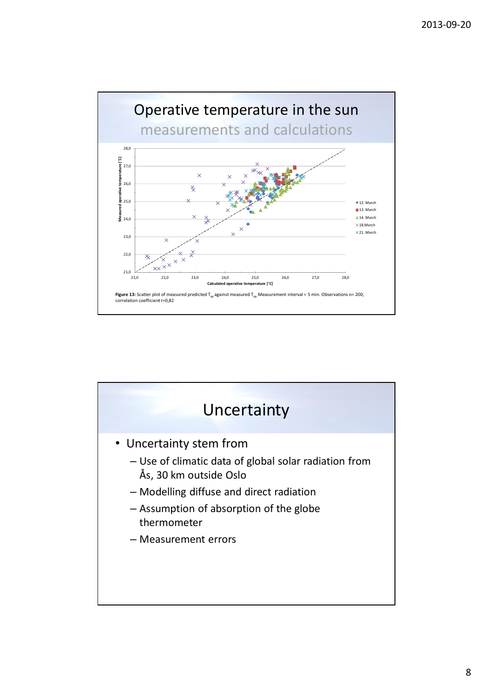

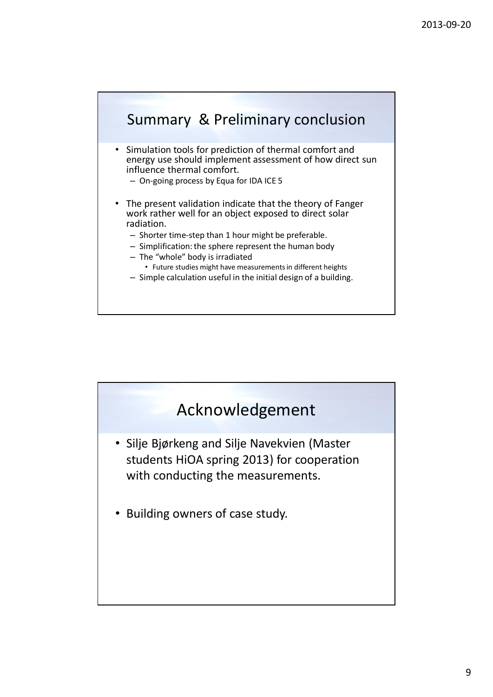